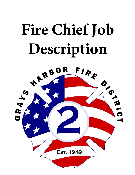

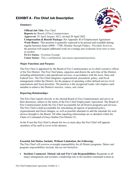# EXHIBIT A - Fire Chief Job Description

### **Summary:**



**Official Job Title:** Fire Chief **Reports to:** Board of Fire Commissioners **Approved:** 28 April January 2012, revised 29 April 2022 **Compensation & Benefit Package:** Per Appendix B of Employment Agreement **Work Hours:** This position is generally expected to be present and available during regular business hours (0800 – 1700, Monday through Friday). Provided, however, the position will require additional work on evenings and weekends from time to time as needed. **FLSA Status:** Overtime Exempt

**Union Status:** This a confidential, non-union represented position.

### **Major Functions and Purpose:**

The Fire Chief is appointed by the Board of Fire Commissioners as its chief executive officer of the Fire District. The Fire Chief plans, organizes and directs the activities of the District, including administrative and operational services, in accordance with the local, State and Federal laws. The Fire Chief integrates organizational, procedural, policy, and fiscal management within the District, for the purpose of operating within defined service level expectations and fiscal priorities. The position is the recognized leader who inspires each member to achieve the District's mission, values, and vision.

### **Reporting Relationships:**

The Fire Chief reports directly to the elected Board of Fire Commissioners and serves at their discretion, subject to the terms of the Fire Chief Employment Agreement. The Board of Fire Commissioners holds the Fire Chief accountable for all District programs and services. The Fire Chief is held accountable for articulating all aspects of proposed policy, organizational and fiscal changes, as well as possible alternatives and the rationale for such choices brought to the Board. All other reporting relationships are as detailed within the Chain of Command of Grays Harbor Fire District #2,

In the Event the Fire Chief is absent for two or more days the Fire Chief will appoint members of his staff to cover in his absence.

#### **Essential Job Duties, Include, Without Limitation, the Following:**

The Fire Chief will exercise oversight responsibility for all District programs. Duties and program responsibilities include, but are not limited to:

• **Incident Command, Mutual Aid and Fire Code Responsibilities:** Responds to all major emergencies and assumes a leadership role in the incident command system as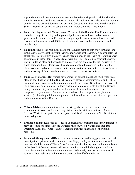appropriate. Establishes and maintains cooperative relationships with neighboring fire agencies to ensure coordinated efforts on mutual aid incidents. Provides technical advice on District land use and development projects. Consults with State Fire Marshal and/or Sheriff Department on fire investigations, plan reviews and field inspections.

- **Policy Development and Management:** Works with the Board of Fire Commissioners and other groups to develop and implement policies, service levels and operation guidelines. Recommends and/or writes changes in policies and service levels as needed. Ensures that new or updated SOG's are clearly understood and communicated to the membership.
- **Planning:** Plays a lead role in facilitating the development of both short term and longterm plans to carry out the mission, vision, and values of the District. Also evaluates the effectiveness of programs and services and recommends to the Board of Commissioners adjustments in these plans. In accordance with the NIMS guidelines, assists the District staff in updating plans and procedures and carrying out exercises for the District's EOC and Emergency Plan. Identifies critical data elements to be reported to the Board of Commissioners and otherwise recorded to determine the current status of District assets and forecasting of future trends and needs relevant to District operations.
- **Financial Management:** Oversee development of annual budget and multi-year fiscal plans in coordination with the District Secretary, Board of Commissioners and District personnel input. Recommends in conjunction with the District Secretary to the Board of Commissioners adjustments in budgets and financial plans consistent with the Board's policy direction. Stays informed about the status of financial audits and related compliance requirements. Authorizes the purchase of all equipment, supplies, and services (within the guidelines and policies established by the District) for the operation and maintenance of the District.
- **Citizen Advisory:** Communicates Fire District goals, service levels and fiscal requirements to voters and other taxing districts via District Newsletters or Annual Reports. Works to integrate the needs, goals, and fiscal requirements of the District with other taxing districts.
- **Problem Solving:** Responds to issues in an organized, consistent, and timely manner to provide resolutions that reflect the District's mission, vision, values, and Standard Operating Guidelines. Able to show leadership qualities in handling of personnel problems.
- **Personnel Management (HR):** Oversees all recruitment and hiring processes, internal investigations, grievances, disciplinary proceedings, employment terminations, and oversees administration of District's performance evaluations system, with the guidance of the Board of Commissioners. All items named above will be brought to the Board of Commissioners for review in a timely manner. Effectively oversees and manages all aspects of labor relations with the IAFF Union on behalf of the District.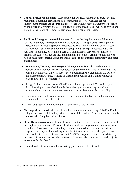- **Capital Project Management:** Accountable for District's adherence to State laws and regulations governing acquisitions and construction projects. Manages capital improvement projects and ensures that projects are within budget parameters established by the Board of Commissioners. All contracts and finalized projects will be approved and signed by the Board of Commissioners and/or Chairman of the Board.
- **Public and Intergovernmental Relations:** Ensures that inquires or complaints are handled in a timely and responsive manner, consistent with approved District policies. Represents the District at approved meetings, hearings, and community events. Assists neighborhoods, business, and community groups on disaster preparedness plans and activities. In conjunction with the Board of Commissioners serves as the District's primary spokesperson. Establishes and maintains a positive working relationship with allied public safety organizations, the media, citizens, the business community, and other stakeholders.
	- **Supervision, Training, and Program Management:** Supervises and conducts performance evaluations for District personnel under the Fire Chief's command. Also consults with Deputy Chief, as necessary, on performance evaluation for the Officers and membership. Oversee training of District membership and at times will teach classes in their field of expertise.
	- Assign duties to and supervise all paid and volunteer personnel. The authority to discipline all personnel shall include the authority to suspend, reprimand and terminate both paid and volunteer personnel in accordance with District policy.
	- Determine who shall become volunteer firefighters for the District and appoint and promote all officers of the District.
	- Direct and supervise the training of all personnel of the District.
- **Meetings of the Board:** Attends all Board of Commissioners meetings. The Fire Chief will give the Board a detailed report of activities of the District. These meetings generally occur outside of regular business hours.
- **Other Duties/Assignments:** Establishes and maintains a positive work environment with the emphasis on teamwork. Plans and facilitates staff meetings, committee meetings and workshops. Serves on District standing committees and ad hoc committees. Attends designated meetings with outside agencies. Participates in state or local organizations related to the fire service. Serves on County's EOC management team, when advised by the Board of Commissioners, when activated. Performs other duties and special projects as assigned by the Board.
- Establish and enforce a manual of operating procedures for the District.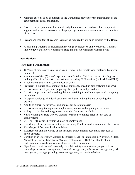- Maintain custody of all equipment of the District and provide for the maintenance of the equipment, facilities, and station.
- Assist in the preparation of the annual budget; authorize the purchase of all equipment, supplies and services necessary for the proper operation and maintenance of the facilities of the District.
- Prepare and maintain all records that may be required by law or as directed by the Board.
- Attend and participate in professional meetings, conferences, and workshops. This may involve travel outside of Washington State and outside of regular business hours.

# **Qualifications:**

## 1) **Required Qualifications:**

- 10 Years of progressive experience as an Officer in the Fire Service (preferred Lieutenant or above).
- A minimum of five (5) years' experience as a Battalion Chief, or equivalent or higherranking officer in a fire district/department providing EMS services (both ALS and BLS).
- Excellent oral and written communication skills
- Proficient in the use of a computer and all commonly used business software platforms.
- Experience in developing and preparing plans, policies, and procedures
- Expertise in personnel rules and regulations pertaining to staff employees and emergency responders
- In-depth knowledge of federal, state, and local laws and regulations governing fire districts
- Ability to present policy issues and choices for decision makers
- Experience in negotiating and/or implementing collective bargaining agreements
- Ability to prioritize and integrate services with fiscal accountability
- Valid Washington State Driver's License (or must be obtained prior to start date of employment).
- CDL or EVIP certified (within 90 days of employment).
- Knowledge of fire prevention activities, including Fire Code enforcement and plan review
- Knowledge of fire investigation activities
- Experience in and knowledge of the financial, budgeting and accounting practices of public agencies
- Certified as an Emergency Medical Technician (EMT) or Paramedic in Washington State, National Registry of Emergency Medical Technicians (NREMT) or able to obtain certification in accordance with Washington State requirements.
- Significant experience and knowledge in public safety administration, organizational leadership, personnel management, financial management, information management, risk management, strategic planning, asset management, and public relations.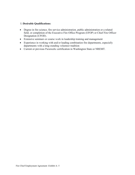### 1) **Desirable Qualifications:**

- Degree in fire science, fire service administration, public administration or a related field, or completion of the Executive Fire Office Program (EFOP) or Chief Fire Officer Designation (CFOD).
- Extensive seminars or course work in leadership training and management
- Experience in working with and/or leading combination fire departments, especially departments with a long-standing volunteer tradition
- Current or previous Paramedic certification in Washington State or NREMT.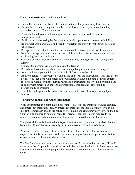# 3) **Personal Attributes.** The individual shall:

- Be a self-confident, results-oriented administrator with a participatory leadership style
- Be comfortable interacting with members at all levels of the organization, including commissioners, staff, and volunteers
- Possess a high degree of integrity, professional decorum and well-developed interpersonal skills
- Facilitate decision-making by fostering a spirit of cooperation and consensus building
- Be approachable, personable, and friendly; yet retain the ability to make tough decisions when needed
- Be dependable and able to maintain their emotional self-control in stressful situations
- Be able to accept advice and constructive criticism, follow rules and regulations and adapt to changing working conditions
- Convey a positive, professional attitude and contribute to the general well- being of the **District**
- Embrace the mission, vision, and values of the District
- Be dedicated to continuing their education and applying new ideas and techniques
- Attend and participate in District drills with all District membership
- Ability to relate to other people beyond giving and receiving instructions. This includes the ability to: (a) get along with others in the workplace without exhibiting behavior extremes; (b) perform work activities requiring negotiating, instructing, supervising, persuading and speaking with others in an appropriate/professional manner; and (c) responding professionally to criticism.
- The ability to be physically and regularly present in the workplace is an essential job function.

# **Working Conditions and Other Information:**

Work is performed in a combination of settings, *i.e.*, office environment, training grounds, and emergency incident scenes. At emergency incidents, the Fire Chief may serve as the Incident Commander. Due to the nature of firefighting and emergency service work, the Fire Chief will be exposed to potential hazards. Therefore, the Fire Chief is required to use protective clothing and equipment at all times when required by applicable authority.

The physical demands described in this job description are representative of those that must be met by a Fire Chief to successfully perform the essential functions of this job.

While performing the duties of the position of Fire Chief, the Fire Chief is frequently required to sit, talk, hear, stand, walk, use hands or fingers, handle or operate objects, tools or controls and reach with hands and arms.

The Fire Chief must frequently lift and/or move up to 15 pounds and occasionally lift and/or move more than 75 pounds. Specific vision abilities required by this job include close vision, distance vision, color vision, peripheral vision, depth perception and the ability to adjust focus.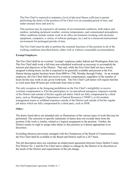The Fire Chief is expected to maintain a level of physical fitness sufficient to permit performing the duties of the position of Fire Chief over an extended period of time, and under unusual stress and activity.

This position may be exposed to all manner of environmental conditions, both indoor and outdoor, including inclement weather, extreme temperatures, and contaminated atmospheres. Other conditions include routine work in an office environment (working with electronic equipment, computers, a variety of software packages, etc.) and in a classroom/instructional environment for prolonged periods of time.

The Fire Chief must be able to perform the essential functions of this position in all of the working conditions described herein, either with or without a reasonable accommodation.

### **Exempt Employee:**

The Fire Chief shall be an overtime "exempt" employee under federal and Washington State law. The Fire Chief shall work a full-time non-scheduled workweek as necessary to accomplish the mission and objectives of the District. That said, while the Fire Chief shall not have strictly assigned working hours, he/she is expected to be generally available and present at the Fire Station during regular business hours from 0800 to 1700, Monday through Friday. As an exempt employee, the Fire Chief shall not receive overtime compensation, regardless of the number of hours he/she may work in any given workweek. The Fire Chief's job duties will require him/her to work more than 40 hours per workweek from time to time.

The only exception to the foregoing prohibition on the Fire Chief's ineligibility to receive overtime compensation is if he/she participates in: (a) specialized emergency responses outside of the District and outside of his/her regular job duties which are fully compensated by a third party, such as Washington's Department of Natural Resources ("DNR"); or (b) incident management teams or wildland responses outside of the District and outside of his/her regular job duties which are fully compensated by a third party, such as DNR.

### **Other:**

The duties listed above are intended only as illustrations of the various types of work that may be performed. The omission of specific statements of duties does not exclude them from the position if the work is similar, related or a logical assignment to the position. Further, the District retains its right to assign other duties to this position as it deems appropriate in its discretion.

Excluding absences previously arranged with the Chairperson of the Board of Commissioners, the Fire Chief shall be available to the Board and District staff on a 24/7 basis.

The job description does not constitute an employment agreement between Grays Harbor County Fire District No. 2 and the Fire Chief and is subject to change by the District in its discretion as the needs of the District and requirements of the job change.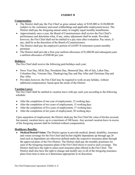### **EXHIBIT B**

### **Compensation:**

- The District shall pay the Fire Chief as gross annual salary of \$105,000 to \$120,000.00 (subject to the customary and usual withholdings and applicable employment taxes). The District shall pay the foregoing annual salary in roughly equal monthly installments.
- Approximately once a year, the Board of Commissioners shall review the Fire Chief's performance and determine what, if any, salary adjustment shall be made. Provided, however, the Fire Chief shall not be entitled to a pay raise after evaluation. Pay raises, if any, shall be at the discretion of the Board of Commissioners.
- The District shall pay the employer's portion of LEOFF II retirement system monthly premium.
- The District shall provide a first-year uniform allowance of \$1,000.00 and subsequent years a uniform allowance of \$500.00 per year.

### **Holidays:**

The Fire Chief shall receive the following paid holidays each year:

- News Year Day, MLK Day, Presidents Day, Memorial Day, 4th of July, Labor Day, Columbus Day, Veterans Day, Thanksgiving Day and Day After and Christmas Day and Day After.
- Provided, however, the Fire Chief may be required to work on any holiday, without additional compensation, based upon the needs of the District.

### **Vacation Leave:**

The Fire Chief shall be entitled to vacation leave with pay each year according to the following schedule:

- After the completion of one year of employment, 12 working days
- After the completion of two years of employment, 15 working days
- After the completion of five years of employment, 17 working days
- After the completion of ten years of employment, 20 working days

Upon separation of employment, the District shall pay the Fire Chief the value of his/her accrued, but unused, vacation leave, up to a maximum of 240 hours. Any accrued vacation leave in excess of the foregoing amount shall be forfeited without compensation.

#### **Healthcare Benefits:**

• **Medical/Dental/Vision:** The District agrees to provide medical, dental, disability, insurance and vision coverage for the Fire Chief and his/her eligible dependents up through age 26 (and such as dependents are otherwise defined under the respective insurance plan) through the approved plans of the Fire District. The District shall pay the monthly premiums for each of the foregoing insurance plans if the Fire Chief elects to receive such coverage. The District shall have the right to select each insurance plan offered to the Fire Chief. The District shall also have the right to change and modify any or all of the foregoing insurance plans from time to time as it determines appropriate in its discretion.